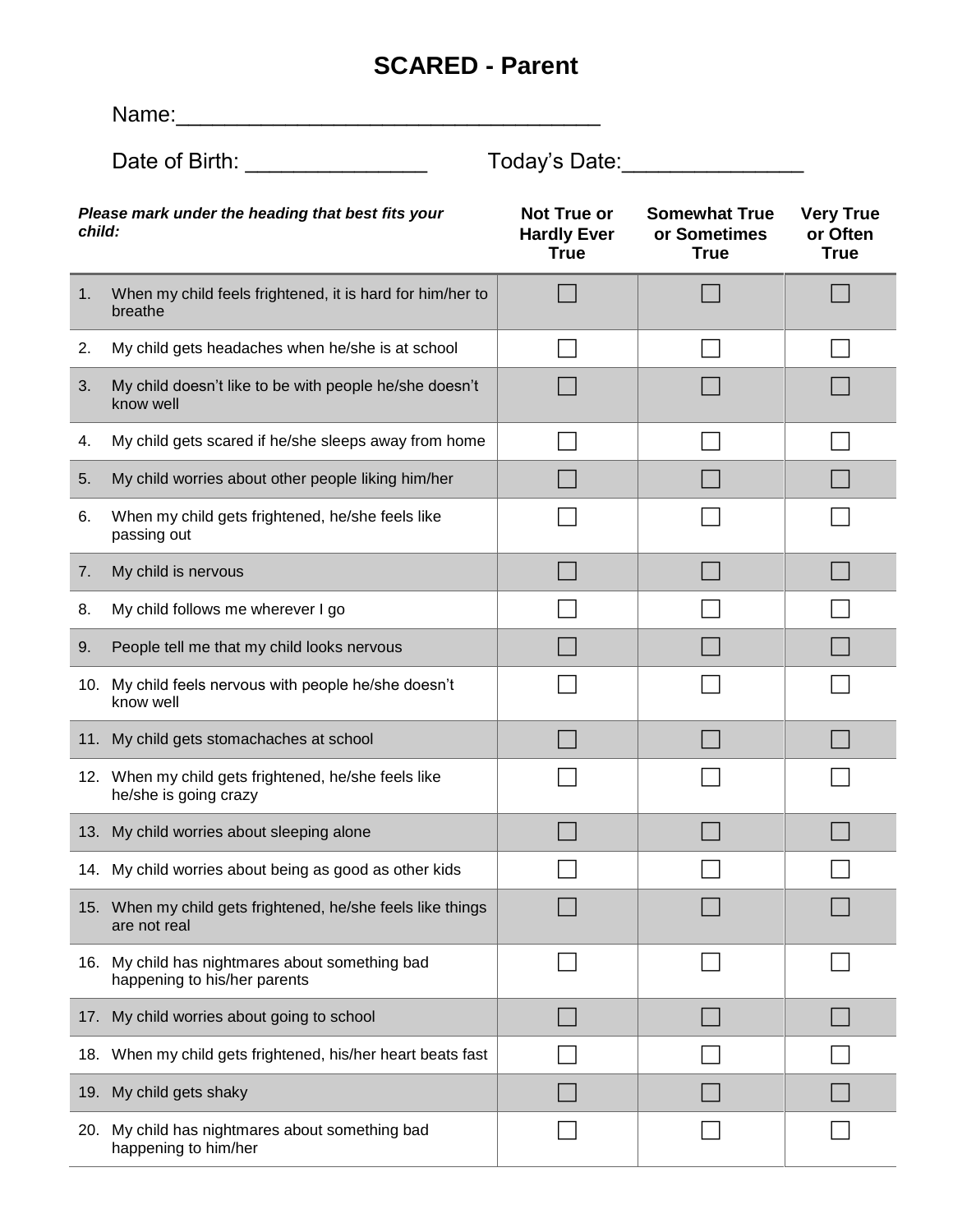## **SCARED - Parent**

|                                                             | Name:                                                                           |                                                         |                                                     |                                             |  |
|-------------------------------------------------------------|---------------------------------------------------------------------------------|---------------------------------------------------------|-----------------------------------------------------|---------------------------------------------|--|
|                                                             | Date of Birth: Date of Birth:                                                   | Today's Date:                                           |                                                     |                                             |  |
| Please mark under the heading that best fits your<br>child: |                                                                                 | <b>Not True or</b><br><b>Hardly Ever</b><br><b>True</b> | <b>Somewhat True</b><br>or Sometimes<br><b>True</b> | <b>Very True</b><br>or Often<br><b>True</b> |  |
| 1 <sub>1</sub>                                              | When my child feels frightened, it is hard for him/her to<br>breathe            |                                                         |                                                     |                                             |  |
| 2.                                                          | My child gets headaches when he/she is at school                                |                                                         |                                                     |                                             |  |
| 3.                                                          | My child doesn't like to be with people he/she doesn't<br>know well             |                                                         |                                                     |                                             |  |
| 4.                                                          | My child gets scared if he/she sleeps away from home                            |                                                         |                                                     |                                             |  |
| 5.                                                          | My child worries about other people liking him/her                              |                                                         |                                                     |                                             |  |
| 6.                                                          | When my child gets frightened, he/she feels like<br>passing out                 |                                                         |                                                     |                                             |  |
| 7.                                                          | My child is nervous                                                             |                                                         |                                                     |                                             |  |
| 8.                                                          | My child follows me wherever I go                                               |                                                         |                                                     |                                             |  |
| 9.                                                          | People tell me that my child looks nervous                                      |                                                         |                                                     |                                             |  |
|                                                             | 10. My child feels nervous with people he/she doesn't<br>know well              |                                                         |                                                     |                                             |  |
|                                                             | 11. My child gets stomachaches at school                                        |                                                         |                                                     |                                             |  |
|                                                             | 12. When my child gets frightened, he/she feels like<br>he/she is going crazy   |                                                         |                                                     |                                             |  |
|                                                             | 13. My child worries about sleeping alone                                       |                                                         |                                                     |                                             |  |
|                                                             | 14. My child worries about being as good as other kids                          |                                                         |                                                     |                                             |  |
|                                                             | 15. When my child gets frightened, he/she feels like things<br>are not real     |                                                         |                                                     |                                             |  |
|                                                             | 16. My child has nightmares about something bad<br>happening to his/her parents |                                                         |                                                     |                                             |  |
|                                                             | 17. My child worries about going to school                                      |                                                         |                                                     |                                             |  |
|                                                             | 18. When my child gets frightened, his/her heart beats fast                     |                                                         |                                                     |                                             |  |
|                                                             | 19. My child gets shaky                                                         |                                                         |                                                     |                                             |  |
|                                                             | 20. My child has nightmares about something bad<br>happening to him/her         |                                                         |                                                     |                                             |  |